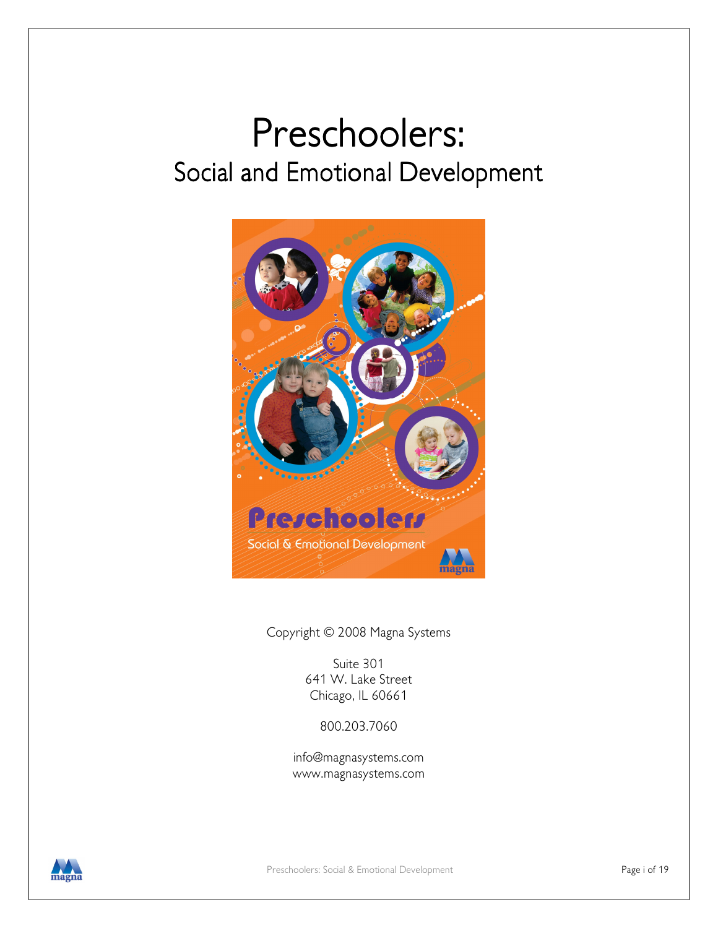# Preschoolers: Social and Emotional Development



Copyright © 2008 Magna Systems

Suite 301 641 W. Lake Street Chicago, IL 60661

800.203.7060

info@magnasystems.com www.magnasystems.com

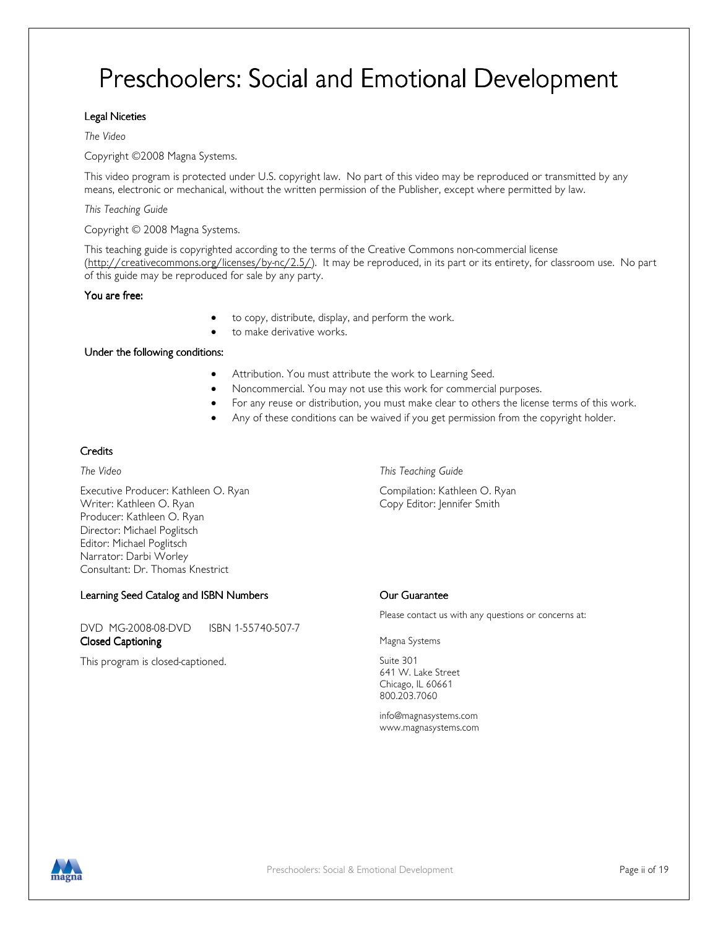## Preschoolers: Social and Emotional Development

#### Legal Niceties

#### The Video

Copyright ©2008 Magna Systems.

This video program is protected under U.S. copyright law. No part of this video may be reproduced or transmitted by any means, electronic or mechanical, without the written permission of the Publisher, except where permitted by law.

This Teaching Guide

Copyright © 2008 Magna Systems.

This teaching guide is copyrighted according to the terms of the Creative Commons non-commercial license (http://creativecommons.org/licenses/by-nc/2.5/). It may be reproduced, in its part or its entirety, for classroom use. No part of this guide may be reproduced for sale by any party.

You are free:

- to copy, distribute, display, and perform the work.
- to make derivative works.

Under the following conditions:

- Attribution. You must attribute the work to Learning Seed.
- Noncommercial. You may not use this work for commercial purposes.
- For any reuse or distribution, you must make clear to others the license terms of this work.
- Any of these conditions can be waived if you get permission from the copyright holder.

#### **Credits**

Executive Producer: Kathleen O. Ryan Compilation: Kathleen O. Ryan Writer: Kathleen O. Ryan Copy Editor: Jennifer Smith Producer: Kathleen O. Ryan Director: Michael Poglitsch Editor: Michael Poglitsch Narrator: Darbi Worley Consultant: Dr. Thomas Knestrict

Learning Seed Catalog and ISBN Numbers **Learning Seed Catalog and ISBN Numbers** Our Guarantee

DVD MG-2008-08-DVD ISBN 1-55740-507-7 **Closed Captioning Closed Captioning Closed Captioning** 

This program is closed-captioned. This program is closed-captioned.

The Video This Teaching Guide

Please contact us with any questions or concerns at:

641 W. Lake Street Chicago, IL 60661 800.203.7060

info@magnasystems.com www.magnasystems.com

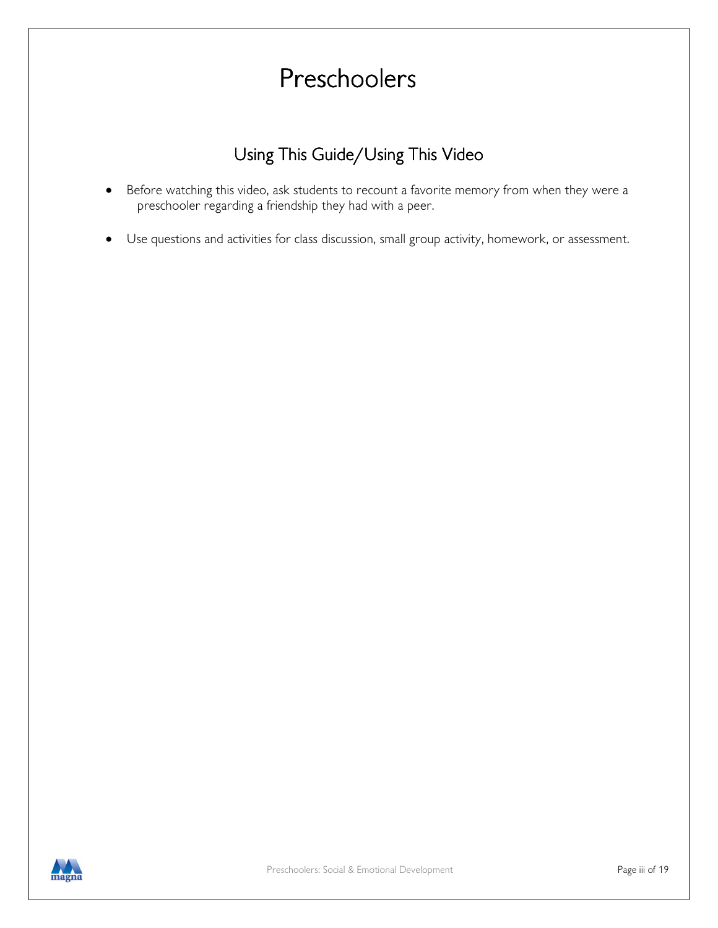## Preschoolers

### Using This Guide/Using This Video

- Before watching this video, ask students to recount a favorite memory from when they were a preschooler regarding a friendship they had with a peer.
- Use questions and activities for class discussion, small group activity, homework, or assessment.

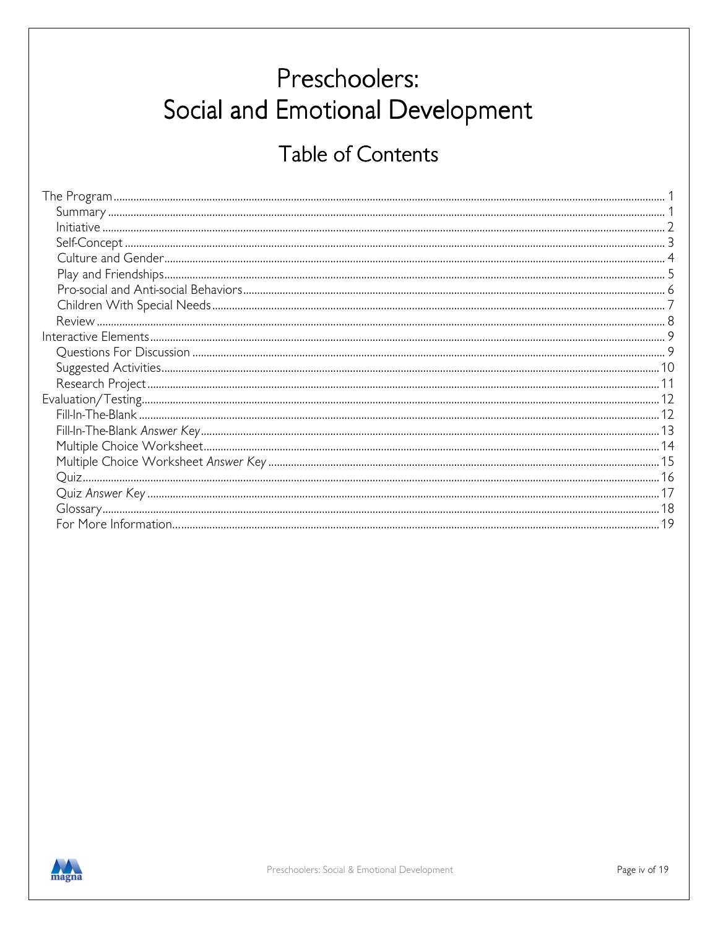## Preschoolers: Social and Emotional Development

### Table of Contents

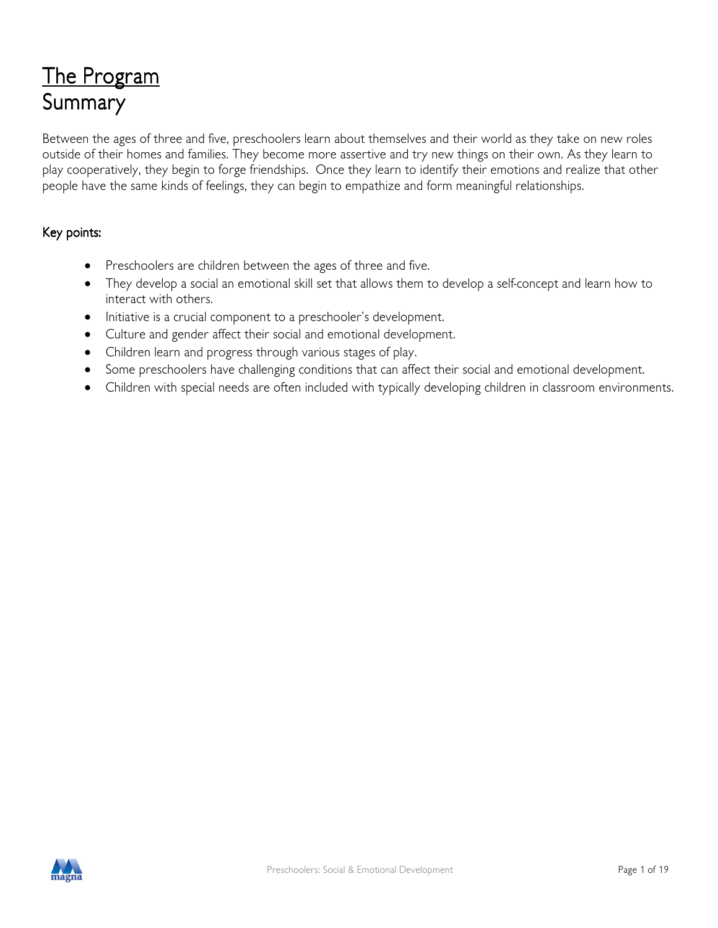## The Program Summary

Between the ages of three and five, preschoolers learn about themselves and their world as they take on new roles outside of their homes and families. They become more assertive and try new things on their own. As they learn to play cooperatively, they begin to forge friendships. Once they learn to identify their emotions and realize that other people have the same kinds of feelings, they can begin to empathize and form meaningful relationships.

#### Key points:

- Preschoolers are children between the ages of three and five.
- They develop a social an emotional skill set that allows them to develop a self-concept and learn how to interact with others.
- Initiative is a crucial component to a preschooler's development.
- Culture and gender affect their social and emotional development.
- Children learn and progress through various stages of play.
- Some preschoolers have challenging conditions that can affect their social and emotional development.
- Children with special needs are often included with typically developing children in classroom environments.

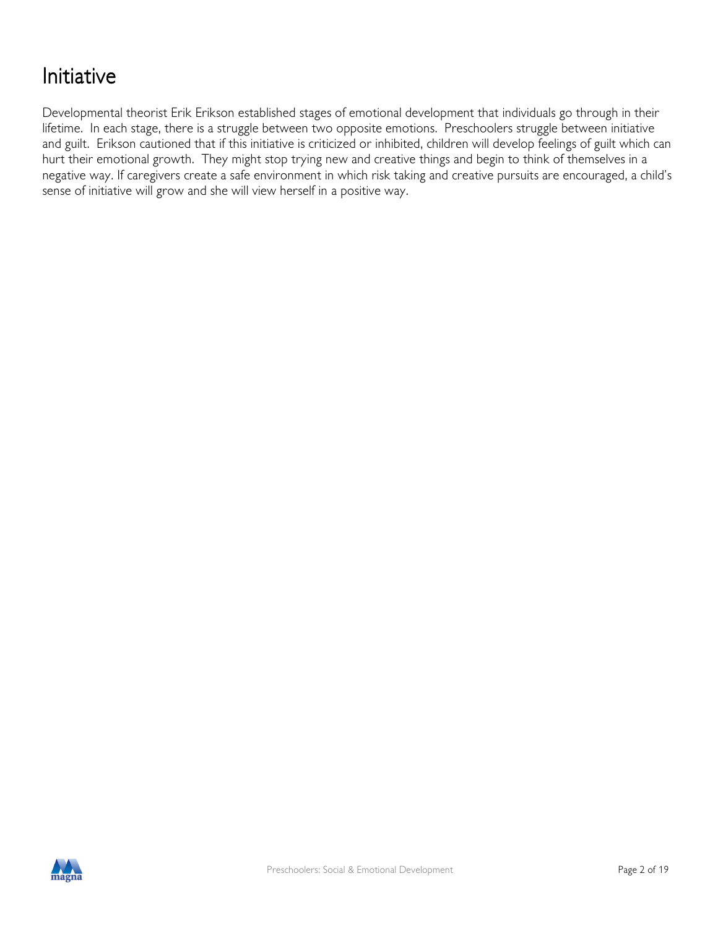### Initiative

Developmental theorist Erik Erikson established stages of emotional development that individuals go through in their lifetime. In each stage, there is a struggle between two opposite emotions. Preschoolers struggle between initiative and guilt. Erikson cautioned that if this initiative is criticized or inhibited, children will develop feelings of guilt which can hurt their emotional growth. They might stop trying new and creative things and begin to think of themselves in a negative way. If caregivers create a safe environment in which risk taking and creative pursuits are encouraged, a child's sense of initiative will grow and she will view herself in a positive way.

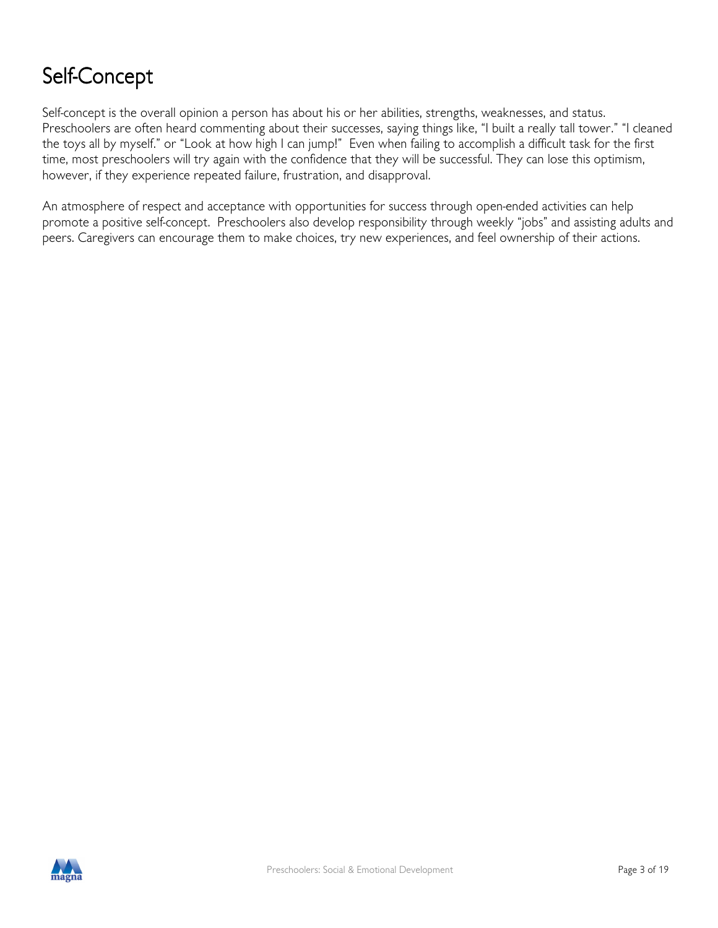### Self-Concept

Self-concept is the overall opinion a person has about his or her abilities, strengths, weaknesses, and status. Preschoolers are often heard commenting about their successes, saying things like, "I built a really tall tower." "I cleaned the toys all by myself." or "Look at how high I can jump!" Even when failing to accomplish a difficult task for the first time, most preschoolers will try again with the confidence that they will be successful. They can lose this optimism, however, if they experience repeated failure, frustration, and disapproval.

An atmosphere of respect and acceptance with opportunities for success through open-ended activities can help promote a positive self-concept. Preschoolers also develop responsibility through weekly "jobs" and assisting adults and peers. Caregivers can encourage them to make choices, try new experiences, and feel ownership of their actions.

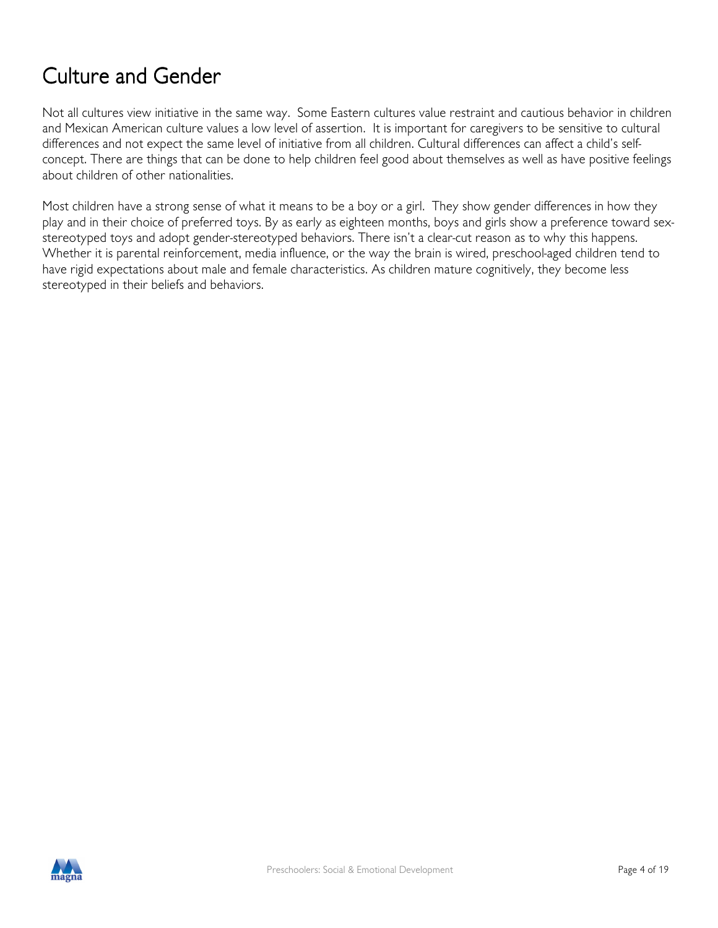### Culture and Gender

Not all cultures view initiative in the same way. Some Eastern cultures value restraint and cautious behavior in children and Mexican American culture values a low level of assertion. It is important for caregivers to be sensitive to cultural differences and not expect the same level of initiative from all children. Cultural differences can affect a child's selfconcept. There are things that can be done to help children feel good about themselves as well as have positive feelings about children of other nationalities.

Most children have a strong sense of what it means to be a boy or a girl. They show gender differences in how they play and in their choice of preferred toys. By as early as eighteen months, boys and girls show a preference toward sexstereotyped toys and adopt gender-stereotyped behaviors. There isn't a clear-cut reason as to why this happens. Whether it is parental reinforcement, media influence, or the way the brain is wired, preschool-aged children tend to have rigid expectations about male and female characteristics. As children mature cognitively, they become less stereotyped in their beliefs and behaviors.

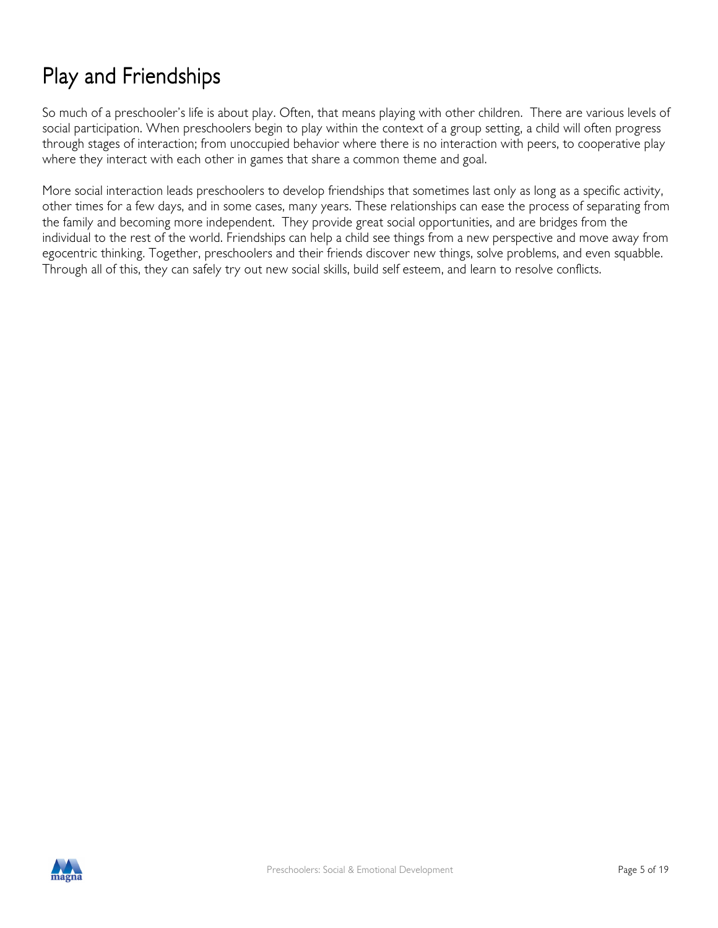### Play and Friendships

So much of a preschooler's life is about play. Often, that means playing with other children. There are various levels of social participation. When preschoolers begin to play within the context of a group setting, a child will often progress through stages of interaction; from unoccupied behavior where there is no interaction with peers, to cooperative play where they interact with each other in games that share a common theme and goal.

More social interaction leads preschoolers to develop friendships that sometimes last only as long as a specific activity, other times for a few days, and in some cases, many years. These relationships can ease the process of separating from the family and becoming more independent. They provide great social opportunities, and are bridges from the individual to the rest of the world. Friendships can help a child see things from a new perspective and move away from egocentric thinking. Together, preschoolers and their friends discover new things, solve problems, and even squabble. Through all of this, they can safely try out new social skills, build self esteem, and learn to resolve conflicts.

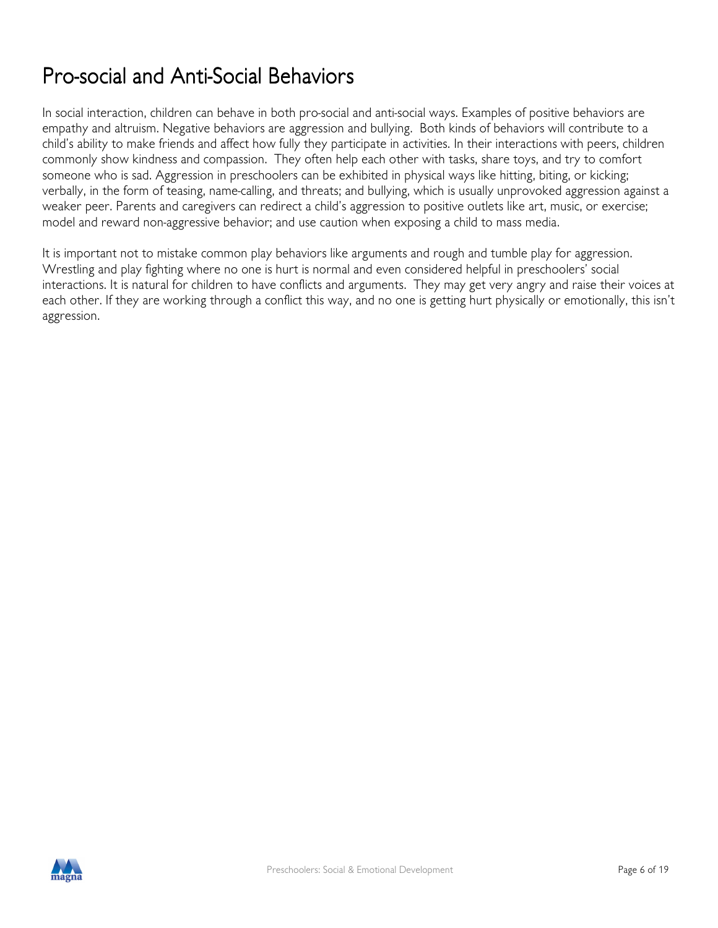### Pro-social and Anti-Social Behaviors

In social interaction, children can behave in both pro-social and anti-social ways. Examples of positive behaviors are empathy and altruism. Negative behaviors are aggression and bullying. Both kinds of behaviors will contribute to a child's ability to make friends and affect how fully they participate in activities. In their interactions with peers, children commonly show kindness and compassion. They often help each other with tasks, share toys, and try to comfort someone who is sad. Aggression in preschoolers can be exhibited in physical ways like hitting, biting, or kicking; verbally, in the form of teasing, name-calling, and threats; and bullying, which is usually unprovoked aggression against a weaker peer. Parents and caregivers can redirect a child's aggression to positive outlets like art, music, or exercise; model and reward non-aggressive behavior; and use caution when exposing a child to mass media.

It is important not to mistake common play behaviors like arguments and rough and tumble play for aggression. Wrestling and play fighting where no one is hurt is normal and even considered helpful in preschoolers' social interactions. It is natural for children to have conflicts and arguments. They may get very angry and raise their voices at each other. If they are working through a conflict this way, and no one is getting hurt physically or emotionally, this isn't aggression.

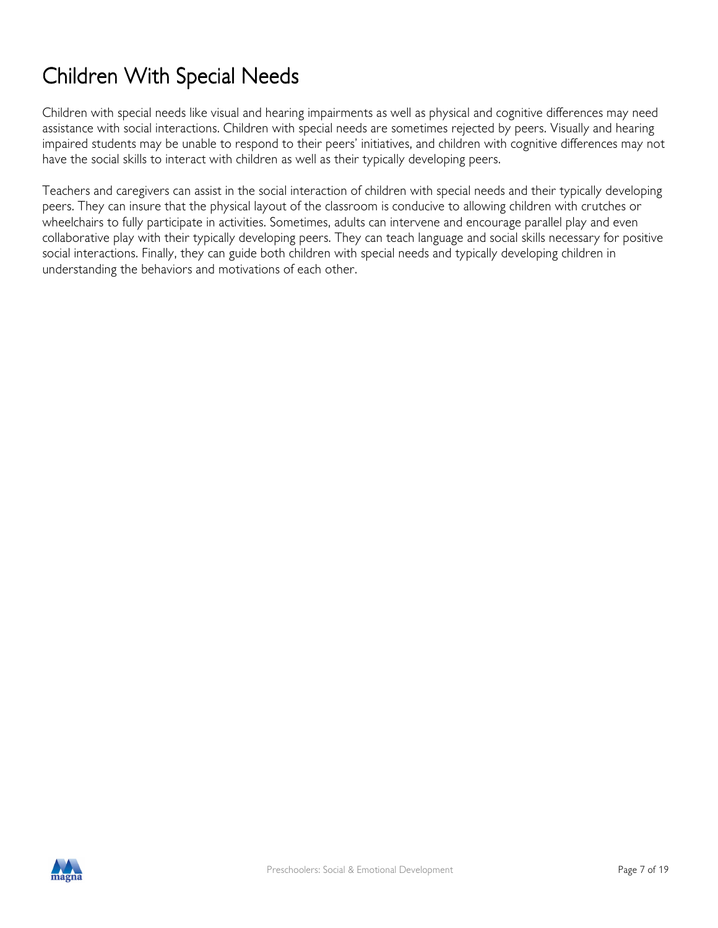## Children With Special Needs

Children with special needs like visual and hearing impairments as well as physical and cognitive differences may need assistance with social interactions. Children with special needs are sometimes rejected by peers. Visually and hearing impaired students may be unable to respond to their peers' initiatives, and children with cognitive differences may not have the social skills to interact with children as well as their typically developing peers.

Teachers and caregivers can assist in the social interaction of children with special needs and their typically developing peers. They can insure that the physical layout of the classroom is conducive to allowing children with crutches or wheelchairs to fully participate in activities. Sometimes, adults can intervene and encourage parallel play and even collaborative play with their typically developing peers. They can teach language and social skills necessary for positive social interactions. Finally, they can guide both children with special needs and typically developing children in understanding the behaviors and motivations of each other.

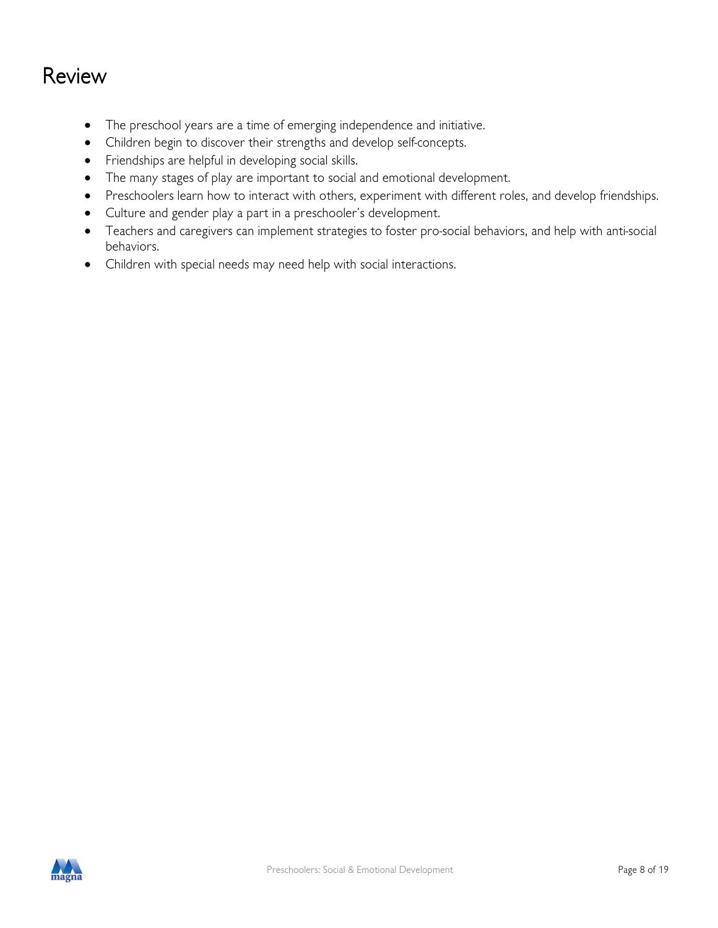### Review

- The preschool years are a time of emerging independence and initiative.
- Children begin to discover their strengths and develop self-concepts.
- Friendships are helpful in developing social skills.
- The many stages of play are important to social and emotional development.
- Preschoolers learn how to interact with others, experiment with different roles, and develop friendships.
- Culture and gender play a part in a preschooler's development.
- Teachers and caregivers can implement strategies to foster pro-social behaviors, and help with anti-social behaviors.
- Children with special needs may need help with social interactions.

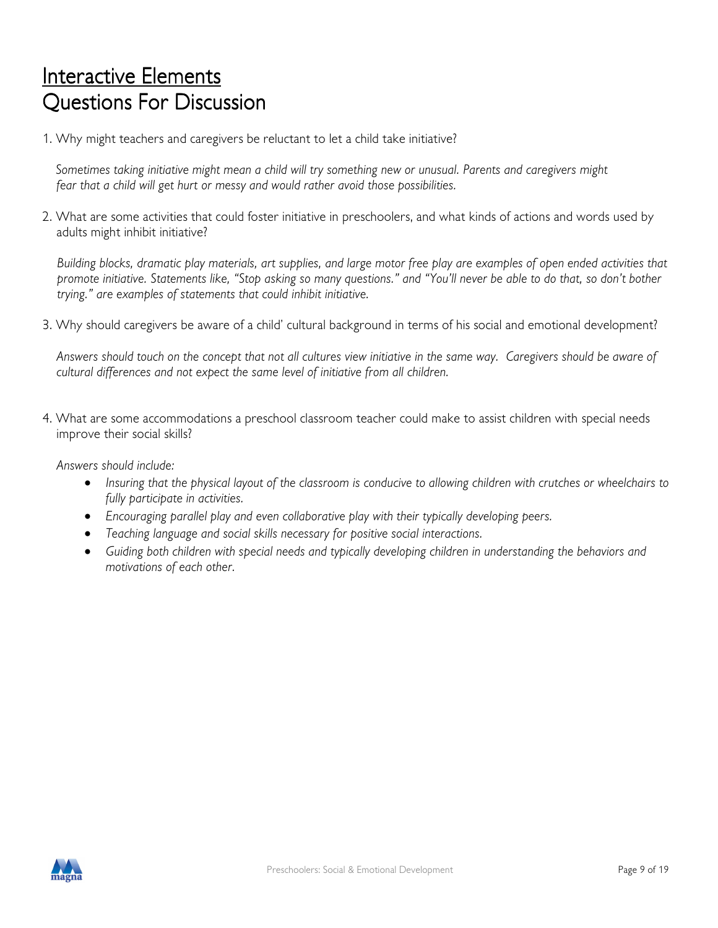### Interactive Elements Questions For Discussion

1. Why might teachers and caregivers be reluctant to let a child take initiative?

 Sometimes taking initiative might mean a child will try something new or unusual. Parents and caregivers might fear that a child will get hurt or messy and would rather avoid those possibilities.

2. What are some activities that could foster initiative in preschoolers, and what kinds of actions and words used by adults might inhibit initiative?

Building blocks, dramatic play materials, art supplies, and large motor free play are examples of open ended activities that promote initiative. Statements like, "Stop asking so many questions." and "You'll never be able to do that, so don't bother trying." are examples of statements that could inhibit initiative.

3. Why should caregivers be aware of a child' cultural background in terms of his social and emotional development?

Answers should touch on the concept that not all cultures view initiative in the same way. Caregivers should be aware of cultural differences and not expect the same level of initiative from all children.

4. What are some accommodations a preschool classroom teacher could make to assist children with special needs improve their social skills?

Answers should include:

- Insuring that the physical layout of the classroom is conducive to allowing children with crutches or wheelchairs to fully participate in activities.
- Encouraging parallel play and even collaborative play with their typically developing peers.
- Teaching language and social skills necessary for positive social interactions.
- Guiding both children with special needs and typically developing children in understanding the behaviors and motivations of each other.

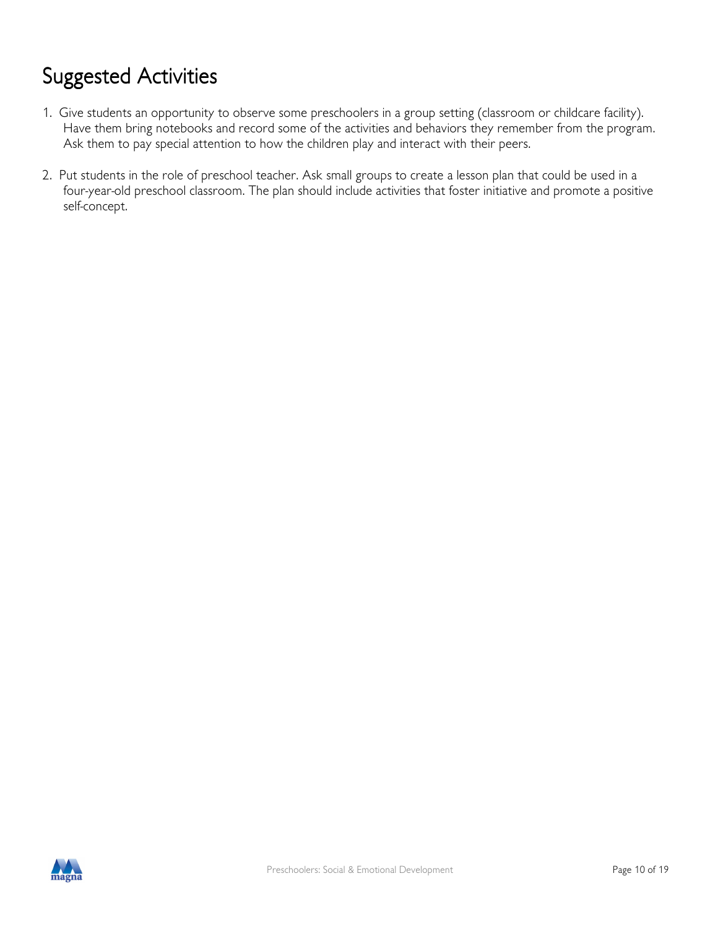## Suggested Activities

- 1. Give students an opportunity to observe some preschoolers in a group setting (classroom or childcare facility). Have them bring notebooks and record some of the activities and behaviors they remember from the program. Ask them to pay special attention to how the children play and interact with their peers.
- 2. Put students in the role of preschool teacher. Ask small groups to create a lesson plan that could be used in a four-year-old preschool classroom. The plan should include activities that foster initiative and promote a positive self-concept.

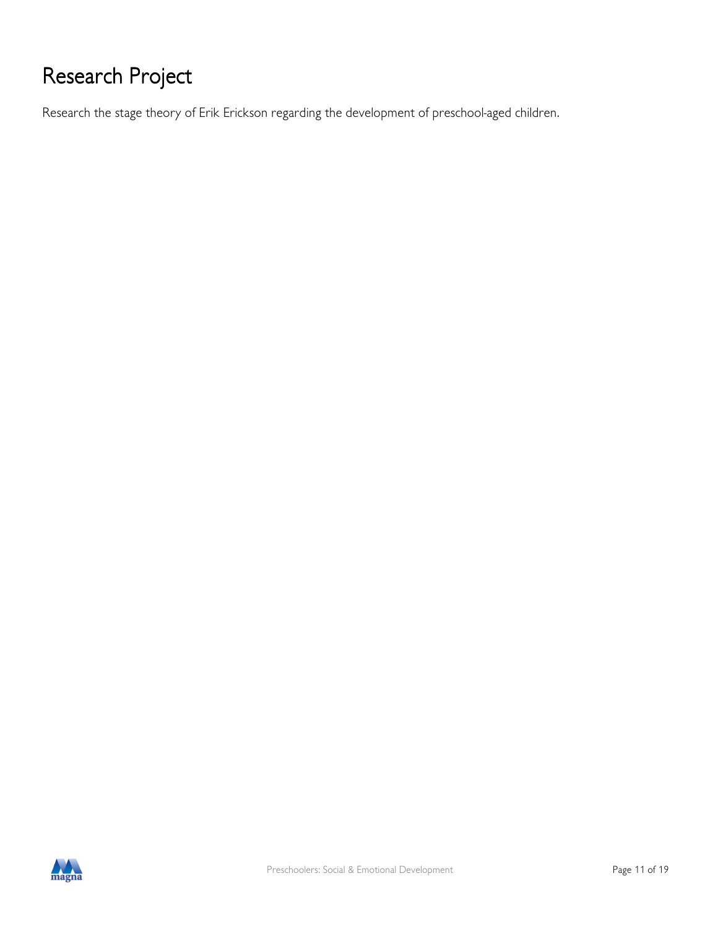## Research Project

Research the stage theory of Erik Erickson regarding the development of preschool-aged children.

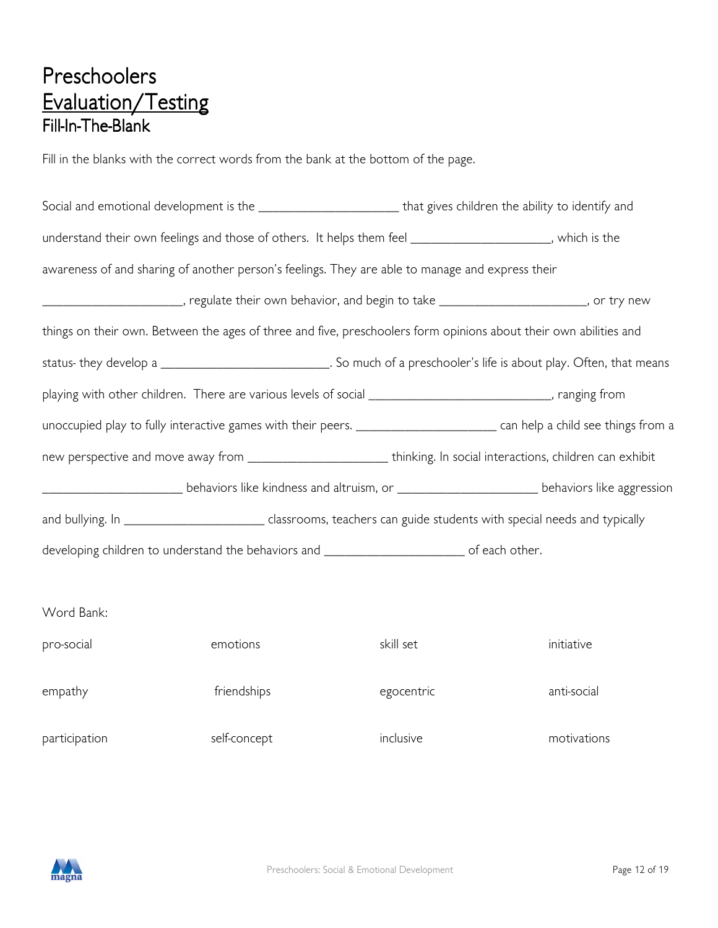### Preschoolers Evaluation/Testing Fill-In-The-Blank

Fill in the blanks with the correct words from the bank at the bottom of the page.

| Social and emotional development is the __________________________that gives children the ability to identify and |              |                                                                                                                                       |             |  |
|-------------------------------------------------------------------------------------------------------------------|--------------|---------------------------------------------------------------------------------------------------------------------------------------|-------------|--|
| understand their own feelings and those of others. It helps them feel ______________________, which is the        |              |                                                                                                                                       |             |  |
| awareness of and sharing of another person's feelings. They are able to manage and express their                  |              |                                                                                                                                       |             |  |
|                                                                                                                   |              | ___________________________, regulate their own behavior, and begin to take _________________________, or try new                     |             |  |
|                                                                                                                   |              | things on their own. Between the ages of three and five, preschoolers form opinions about their own abilities and                     |             |  |
|                                                                                                                   |              | status- they develop a _____________________________. So much of a preschooler's life is about play. Often, that means                |             |  |
| playing with other children. There are various levels of social ______________________________, ranging from      |              |                                                                                                                                       |             |  |
|                                                                                                                   |              | unoccupied play to fully interactive games with their peers. ________________________________ can help a child see things from a      |             |  |
|                                                                                                                   |              | new perspective and move away from ___________________________thinking. In social interactions, children can exhibit                  |             |  |
|                                                                                                                   |              | _________________________________behaviors like kindness and altruism, or __________________________________behaviors like aggression |             |  |
|                                                                                                                   |              | and bullying. In ______________________________ classrooms, teachers can guide students with special needs and typically              |             |  |
| developing children to understand the behaviors and ____________________________ of each other.                   |              |                                                                                                                                       |             |  |
|                                                                                                                   |              |                                                                                                                                       |             |  |
| Word Bank:                                                                                                        |              |                                                                                                                                       |             |  |
| pro-social                                                                                                        | emotions     | skill set                                                                                                                             | initiative  |  |
| empathy                                                                                                           | friendships  | egocentric                                                                                                                            | anti-social |  |
| participation                                                                                                     | self-concept | inclusive                                                                                                                             | motivations |  |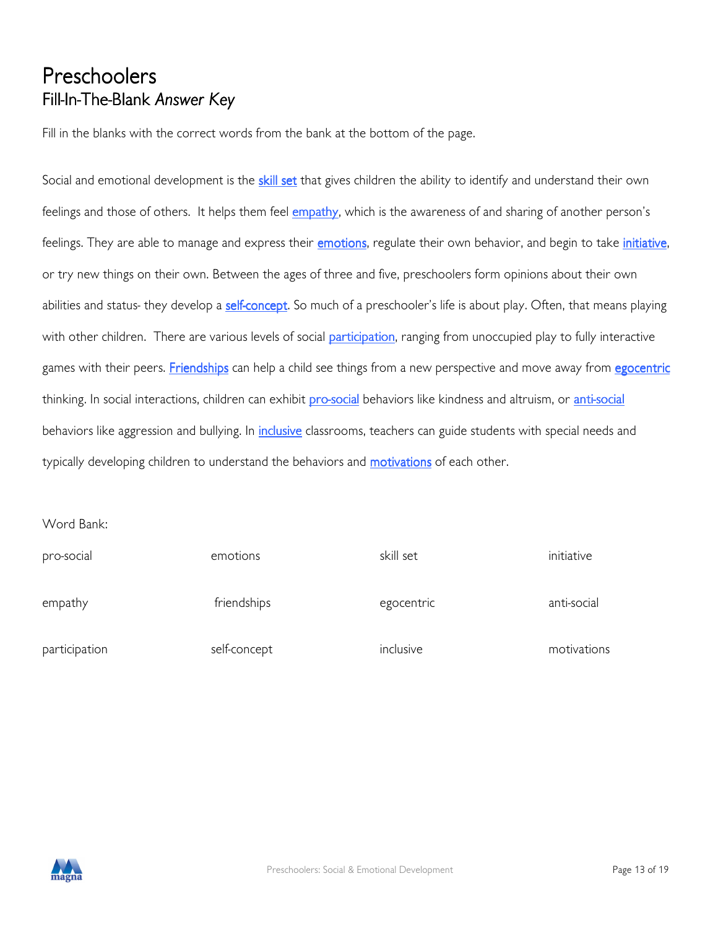### Preschoolers Fill-In-The-Blank Answer Key

Fill in the blanks with the correct words from the bank at the bottom of the page.

Social and emotional development is the *skill set* that gives children the ability to identify and understand their own feelings and those of others. It helps them feel empathy, which is the awareness of and sharing of another person's feelings. They are able to manage and express their **emotions**, regulate their own behavior, and begin to take *initiative*, or try new things on their own. Between the ages of three and five, preschoolers form opinions about their own abilities and status- they develop a self-concept. So much of a preschooler's life is about play. Often, that means playing with other children. There are various levels of social **participation**, ranging from unoccupied play to fully interactive games with their peers. Friendships can help a child see things from a new perspective and move away from egocentric thinking. In social interactions, children can exhibit **pro-social** behaviors like kindness and altruism, or *anti-social* behaviors like aggression and bullying. In *inclusive* classrooms, teachers can guide students with special needs and typically developing children to understand the behaviors and **motivations** of each other.

Word Bank:

| pro-social    | emotions     | skill set  | initiative  |
|---------------|--------------|------------|-------------|
| empathy       | friendships  | egocentric | anti-social |
| participation | self-concept | inclusive  | motivations |

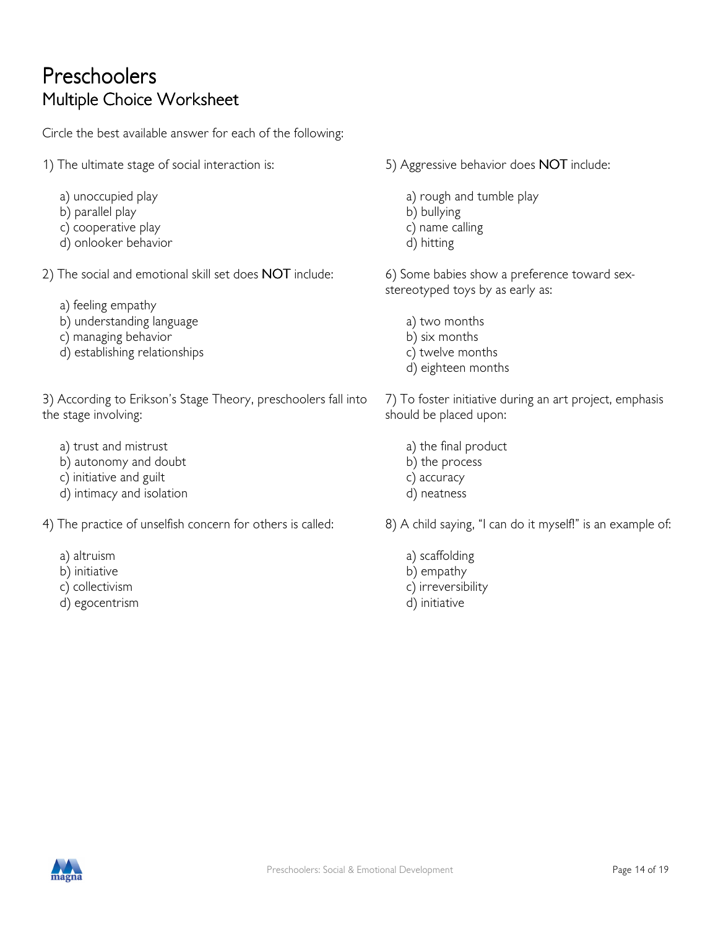### Preschoolers Multiple Choice Worksheet

Circle the best available answer for each of the following:

- 1) The ultimate stage of social interaction is:
	- a) unoccupied play
	- b) parallel play
	- c) cooperative play
	- d) onlooker behavior
- 2) The social and emotional skill set does NOT include:
	- a) feeling empathy
	- b) understanding language
	- c) managing behavior
	- d) establishing relationships

3) According to Erikson's Stage Theory, preschoolers fall into the stage involving:

- a) trust and mistrust
- b) autonomy and doubt
- c) initiative and guilt
- d) intimacy and isolation
- 4) The practice of unselfish concern for others is called:
	- a) altruism
	- b) initiative
	- c) collectivism
	- d) egocentrism
- 5) Aggressive behavior does NOT include:
	- a) rough and tumble play
	- b) bullying
	- c) name calling
	- d) hitting

6) Some babies show a preference toward sexstereotyped toys by as early as:

- a) two months
- b) six months
- c) twelve months
- d) eighteen months

7) To foster initiative during an art project, emphasis should be placed upon:

- a) the final product
- b) the process
- c) accuracy
- d) neatness
- 8) A child saying, "I can do it myself!" is an example of:
	- a) scaffolding b) empathy c) irreversibility d) initiative

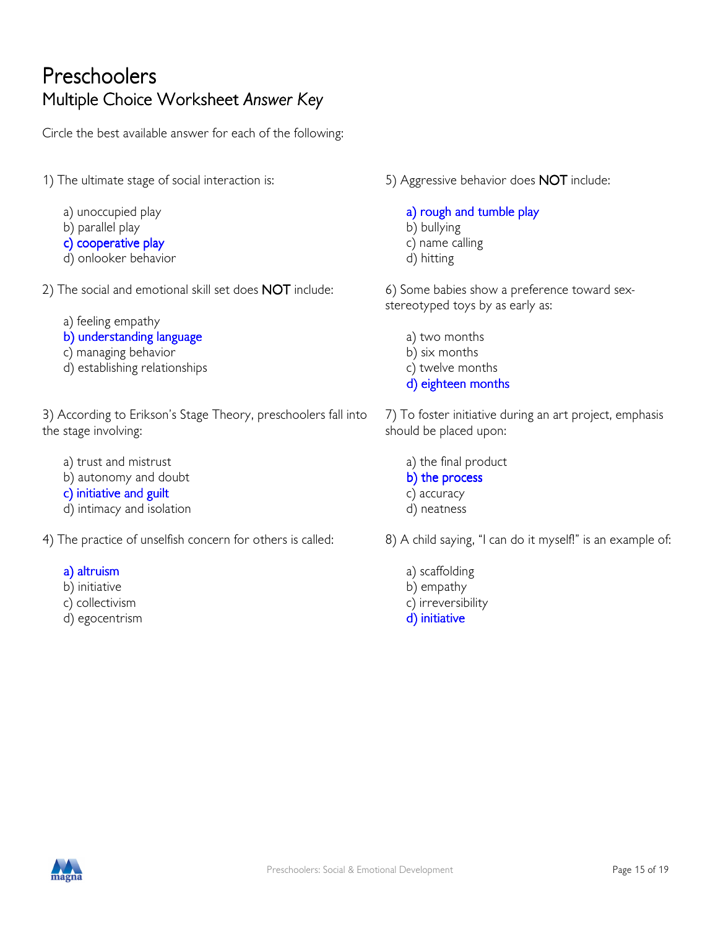### Preschoolers Multiple Choice Worksheet Answer Key

Circle the best available answer for each of the following:

1) The ultimate stage of social interaction is:

- a) unoccupied play
- b) parallel play
- c) cooperative play
- d) onlooker behavior
- 2) The social and emotional skill set does NOT include:
	- a) feeling empathy
	- b) understanding language
	- c) managing behavior
	- d) establishing relationships

3) According to Erikson's Stage Theory, preschoolers fall into the stage involving:

- a) trust and mistrust
- b) autonomy and doubt
- c) initiative and guilt
- d) intimacy and isolation
- 4) The practice of unselfish concern for others is called:
	- a) altruism
	- b) initiative
	- c) collectivism
	- d) egocentrism

5) Aggressive behavior does NOT include:

- a) rough and tumble play b) bullying c) name calling
- d) hitting

6) Some babies show a preference toward sexstereotyped toys by as early as:

- a) two months
- b) six months
- c) twelve months
- d) eighteen months

7) To foster initiative during an art project, emphasis should be placed upon:

 a) the final product b) the process c) accuracy d) neatness

8) A child saying, "I can do it myself!" is an example of:

- a) scaffolding b) empathy
- c) irreversibility
- d) initiative

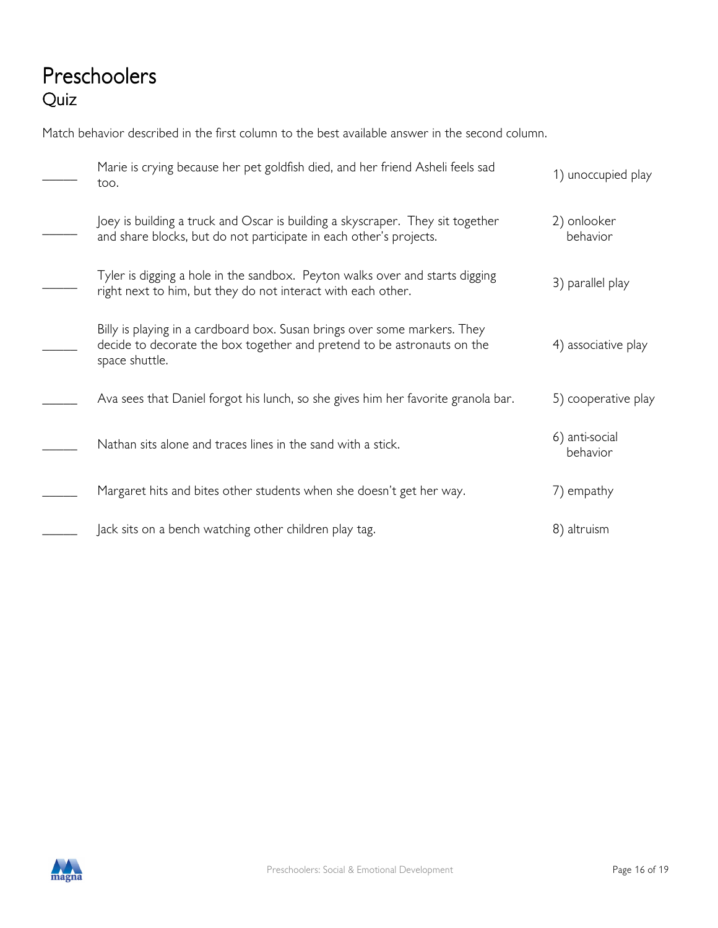### Preschoolers Quiz

Match behavior described in the first column to the best available answer in the second column.

| Marie is crying because her pet goldfish died, and her friend Asheli feels sad<br>too.                                                                                 | 1) unoccupied play         |
|------------------------------------------------------------------------------------------------------------------------------------------------------------------------|----------------------------|
| Joey is building a truck and Oscar is building a skyscraper. They sit together<br>and share blocks, but do not participate in each other's projects.                   | 2) onlooker<br>behavior    |
| Tyler is digging a hole in the sandbox. Peyton walks over and starts digging<br>right next to him, but they do not interact with each other.                           | 3) parallel play           |
| Billy is playing in a cardboard box. Susan brings over some markers. They<br>decide to decorate the box together and pretend to be astronauts on the<br>space shuttle. | 4) associative play        |
| Ava sees that Daniel forgot his lunch, so she gives him her favorite granola bar.                                                                                      | 5) cooperative play        |
| Nathan sits alone and traces lines in the sand with a stick.                                                                                                           | 6) anti-social<br>behavior |
| Margaret hits and bites other students when she doesn't get her way.                                                                                                   | 7) empathy                 |
| Jack sits on a bench watching other children play tag.                                                                                                                 | 8) altruism                |

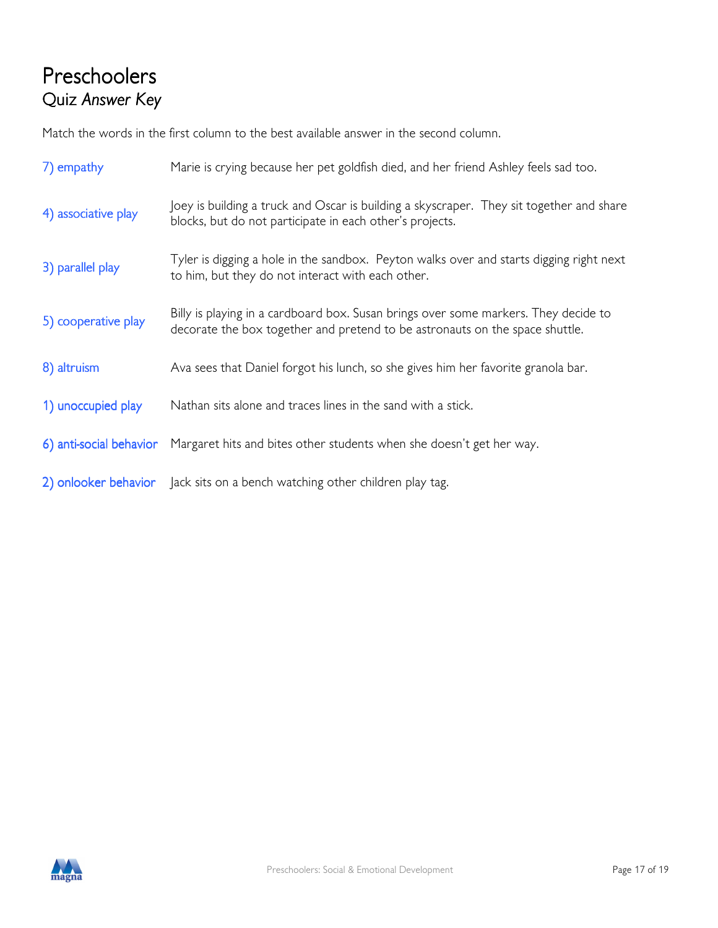### Preschoolers Quiz Answer Key

Match the words in the first column to the best available answer in the second column.

| 7) empathy              | Marie is crying because her pet goldfish died, and her friend Ashley feels sad too.                                                                                 |
|-------------------------|---------------------------------------------------------------------------------------------------------------------------------------------------------------------|
| 4) associative play     | Joey is building a truck and Oscar is building a skyscraper. They sit together and share<br>blocks, but do not participate in each other's projects.                |
| 3) parallel play        | Tyler is digging a hole in the sandbox. Peyton walks over and starts digging right next<br>to him, but they do not interact with each other.                        |
| 5) cooperative play     | Billy is playing in a cardboard box. Susan brings over some markers. They decide to<br>decorate the box together and pretend to be astronauts on the space shuttle. |
| 8) altruism             | Ava sees that Daniel forgot his lunch, so she gives him her favorite granola bar.                                                                                   |
| 1) unoccupied play      | Nathan sits alone and traces lines in the sand with a stick.                                                                                                        |
| 6) anti-social behavior | Margaret hits and bites other students when she doesn't get her way.                                                                                                |
| 2) onlooker behavior    | Jack sits on a bench watching other children play tag.                                                                                                              |

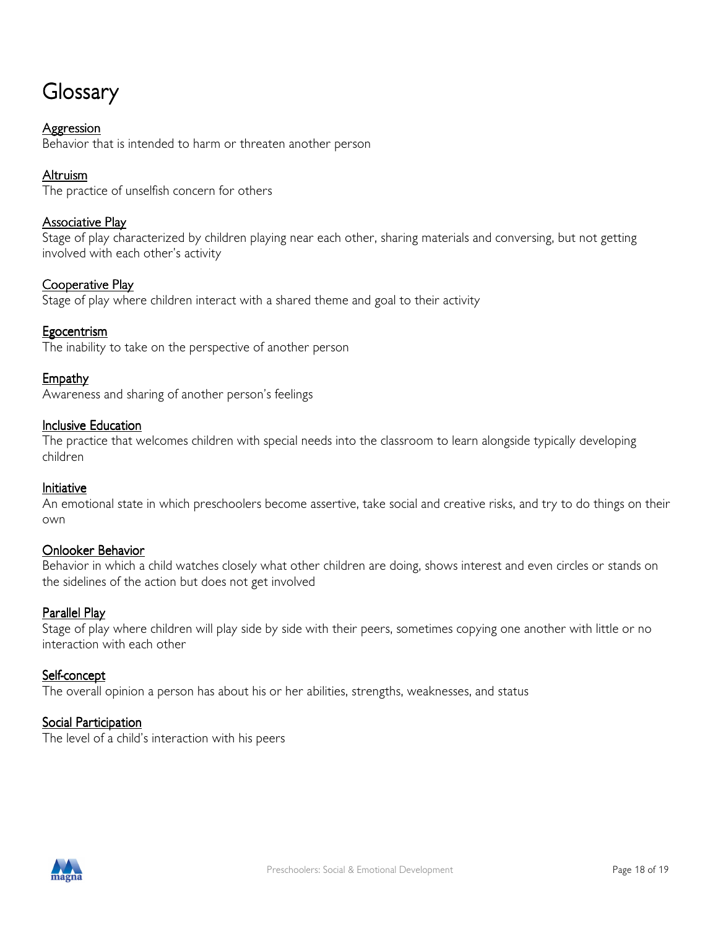### Glossary

#### **Aggression**

Behavior that is intended to harm or threaten another person

#### Altruism

The practice of unselfish concern for others

#### Associative Play

Stage of play characterized by children playing near each other, sharing materials and conversing, but not getting involved with each other's activity

#### Cooperative Play

Stage of play where children interact with a shared theme and goal to their activity

#### **Egocentrism**

The inability to take on the perspective of another person

#### **Empathy**

Awareness and sharing of another person's feelings

#### **Inclusive Education**

The practice that welcomes children with special needs into the classroom to learn alongside typically developing children

#### Initiative

An emotional state in which preschoolers become assertive, take social and creative risks, and try to do things on their own

#### Onlooker Behavior

Behavior in which a child watches closely what other children are doing, shows interest and even circles or stands on the sidelines of the action but does not get involved

#### Parallel Play

Stage of play where children will play side by side with their peers, sometimes copying one another with little or no interaction with each other

#### Self-concept

The overall opinion a person has about his or her abilities, strengths, weaknesses, and status

#### **Social Participation**

The level of a child's interaction with his peers